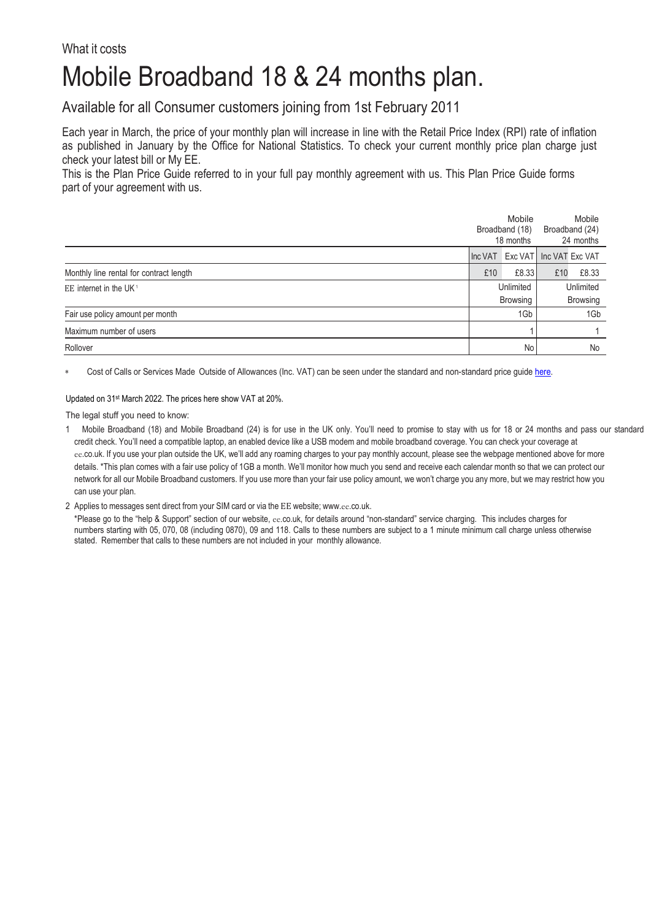## What it costs

## Mobile Broadband 18 & 24 months plan.

Available for all Consumer customers joining from 1st February 2011

Each year in March, the price of your monthly plan will increase in line with the Retail Price Index (RPI) rate of inflation as published in January by the Office for National Statistics. To check your current monthly price plan charge just check your latest bill or My EE.

This is the Plan Price Guide referred to in your full pay monthly agreement with us. This Plan Price Guide forms part of your agreement with us.

|                                         | Mobile<br>Broadband (18)<br>18 months |                                 | Mobile<br>Broadband (24)<br>24 months |       |
|-----------------------------------------|---------------------------------------|---------------------------------|---------------------------------------|-------|
|                                         |                                       | Inc VAT Exc VAT Inc VAT Exc VAT |                                       |       |
| Monthly line rental for contract length | £10                                   | £8.33                           | £10                                   | £8.33 |
| EE internet in the UK <sup>1</sup>      | Unlimited<br>Browsing                 |                                 | Unlimited<br><b>Browsing</b>          |       |
| Fair use policy amount per month        | 1Gb                                   |                                 | 1Gb                                   |       |
| Maximum number of users                 |                                       |                                 |                                       |       |
| Rollover                                | No                                    |                                 | No                                    |       |

∗ Cost of Calls or Services Made Outside of Allowances (Inc. VAT) can be seen under the standard and non-standard price guid[e here.](https://ee.co.uk/help/help-new/price-plans/legacy-brand/pay-monthly-price-plans)

Updated on 31st March 2022. The prices here show VAT at 20%.

The legal stuff you need to know:

1 Mobile Broadband (18) and Mobile Broadband (24) is for use in the UK only. You'll need to promise to stay with us for 18 or 24 months and pass our standard credit check. You'll need a compatible laptop, an enabled device like a USB modem and mobile broadband coverage. You can check your coverage at ee.co.uk. If you use your plan outside the UK, we'll add any roaming charges to your pay monthly account, please see the webpage mentioned above for more details. \*This plan comes with a fair use policy of 1GB a month. We'll monitor how much you send and receive each calendar month so that we can protect our network for all our Mobile Broadband customers. If you use more than your fair use policy amount, we won't charge you any more, but we may restrict how you can use your plan.

2 Applies to messages sent direct from your SIM card or via the EE website; www.ee[.co.uk.](http://www.ee.co.uk/)

\*Please go to the "help & Support" section of our website, ee.co.uk, for details around "non-standard" service charging. This includes charges for numbers starting with 05, 070, 08 (including 0870), 09 and 118. Calls to these numbers are subject to a 1 minute minimum call charge unless otherwise stated. Remember that calls to these numbers are not included in your monthly allowance.